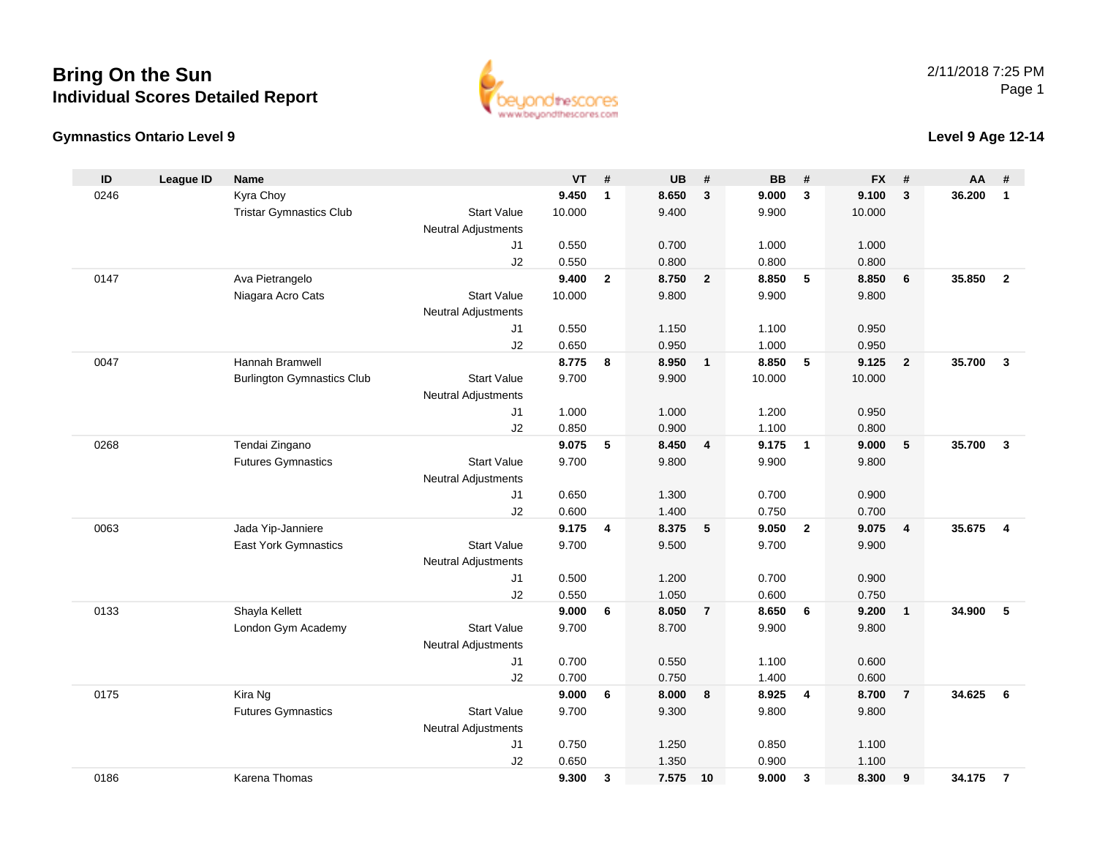### **Bring On the SunIndividual Scores Detailed Report**





#### **Level 9 Age 12-14**

| ID<br>VT<br><b>UB</b><br><b>BB</b><br><b>FX</b><br><b>League ID</b><br>#<br>#<br>#<br>AA<br><b>Name</b><br>#<br>#<br>Kyra Choy<br>8.650<br>3<br>9.100<br>0246<br>9.450<br>9.000<br>3<br>3<br>36.200<br>$\mathbf{1}$<br>$\mathbf{1}$<br><b>Start Value</b><br>9.400<br>9.900<br><b>Tristar Gymnastics Club</b><br>10.000<br>10.000<br><b>Neutral Adjustments</b><br>0.550<br>0.700<br>1.000<br>1.000<br>J1<br>J2<br>0.550<br>0.800<br>0.800<br>0.800<br>0147<br>9.400<br>8.750<br>8.850<br>5<br>8.850<br>35.850<br>Ava Pietrangelo<br>$\mathbf{2}$<br>$\overline{2}$<br>6<br>$\overline{2}$<br>Niagara Acro Cats<br>9.800<br>9.900<br>9.800<br><b>Start Value</b><br>10.000<br><b>Neutral Adjustments</b><br>0.550<br>1.150<br>1.100<br>0.950<br>J1<br>J2<br>0.650<br>0.950<br>1.000<br>0.950<br>Hannah Bramwell<br>8.775<br>8.950<br>8.850<br>$-5$<br>9.125<br>35.700<br>$\overline{3}$<br>0047<br>8<br>$\mathbf{1}$<br>$\overline{2}$<br><b>Burlington Gymnastics Club</b><br>9.700<br>9.900<br>10.000<br><b>Start Value</b><br>10.000<br><b>Neutral Adjustments</b><br>J <sub>1</sub><br>1.000<br>1.000<br>1.200<br>0.950<br>J2<br>0.850<br>0.900<br>1.100<br>0.800<br>35.700<br>0268<br>Tendai Zingano<br>9.075<br>5<br>8.450<br>9.175<br>9.000<br>5<br>$\overline{3}$<br>4<br>$\overline{\mathbf{1}}$<br><b>Futures Gymnastics</b><br><b>Start Value</b><br>9.700<br>9.800<br>9.900<br>9.800<br>Neutral Adjustments<br>0.650<br>1.300<br>0.700<br>0.900<br>J <sub>1</sub><br>0.600<br>1.400<br>J2<br>0.750<br>0.700<br>9.175<br>8.375<br>0063<br>Jada Yip-Janniere<br>5<br>9.050<br>$\overline{2}$<br>9.075<br>35.675<br>4<br>$\overline{4}$<br>$\overline{\mathbf{4}}$<br><b>East York Gymnastics</b><br><b>Start Value</b><br>9.700<br>9.500<br>9.700<br>9.900<br>Neutral Adjustments<br>0.500<br>1.200<br>0.700<br>0.900<br>J <sub>1</sub><br>J2<br>0.550<br>1.050<br>0.600<br>0.750<br>Shayla Kellett<br>8.050<br>8.650<br>0133<br>9.000<br>$\overline{7}$<br>6<br>9.200<br>34.900<br>5<br>6<br>$\overline{1}$<br>London Gym Academy<br><b>Start Value</b><br>9.700<br>8.700<br>9.900<br>9.800<br>Neutral Adjustments<br>J1<br>0.700<br>0.550<br>1.100<br>0.600<br>0.700<br>0.600<br>J2<br>0.750<br>1.400<br>Kira Ng<br>9.000<br>8.925<br>8.700<br>34.625<br>6<br>0175<br>8.000<br>$\overline{7}$<br>6<br>8<br>$\overline{4}$<br>9.700<br><b>Futures Gymnastics</b><br><b>Start Value</b><br>9.300<br>9.800<br>9.800<br>Neutral Adjustments<br>J1<br>0.750<br>1.250<br>0.850<br>1.100<br>1.350<br>0.900<br>J2<br>0.650<br>1.100<br>0186<br>9.300<br>7.575<br>9.000<br>8.300<br>34.175<br>Karena Thomas<br>3<br>10<br>$\mathbf{3}$<br>9<br>$\overline{7}$ |  |  |  |  |  |  |  |
|------------------------------------------------------------------------------------------------------------------------------------------------------------------------------------------------------------------------------------------------------------------------------------------------------------------------------------------------------------------------------------------------------------------------------------------------------------------------------------------------------------------------------------------------------------------------------------------------------------------------------------------------------------------------------------------------------------------------------------------------------------------------------------------------------------------------------------------------------------------------------------------------------------------------------------------------------------------------------------------------------------------------------------------------------------------------------------------------------------------------------------------------------------------------------------------------------------------------------------------------------------------------------------------------------------------------------------------------------------------------------------------------------------------------------------------------------------------------------------------------------------------------------------------------------------------------------------------------------------------------------------------------------------------------------------------------------------------------------------------------------------------------------------------------------------------------------------------------------------------------------------------------------------------------------------------------------------------------------------------------------------------------------------------------------------------------------------------------------------------------------------------------------------------------------------------------------------------------------------------------------------------------------------------------------------------------------------------------------------------------------------------------------------------------------------------------------------------------------------------------------------------------------------------------------------------------------------------------------------------------------------------------------------------|--|--|--|--|--|--|--|
|                                                                                                                                                                                                                                                                                                                                                                                                                                                                                                                                                                                                                                                                                                                                                                                                                                                                                                                                                                                                                                                                                                                                                                                                                                                                                                                                                                                                                                                                                                                                                                                                                                                                                                                                                                                                                                                                                                                                                                                                                                                                                                                                                                                                                                                                                                                                                                                                                                                                                                                                                                                                                                                                  |  |  |  |  |  |  |  |
|                                                                                                                                                                                                                                                                                                                                                                                                                                                                                                                                                                                                                                                                                                                                                                                                                                                                                                                                                                                                                                                                                                                                                                                                                                                                                                                                                                                                                                                                                                                                                                                                                                                                                                                                                                                                                                                                                                                                                                                                                                                                                                                                                                                                                                                                                                                                                                                                                                                                                                                                                                                                                                                                  |  |  |  |  |  |  |  |
|                                                                                                                                                                                                                                                                                                                                                                                                                                                                                                                                                                                                                                                                                                                                                                                                                                                                                                                                                                                                                                                                                                                                                                                                                                                                                                                                                                                                                                                                                                                                                                                                                                                                                                                                                                                                                                                                                                                                                                                                                                                                                                                                                                                                                                                                                                                                                                                                                                                                                                                                                                                                                                                                  |  |  |  |  |  |  |  |
|                                                                                                                                                                                                                                                                                                                                                                                                                                                                                                                                                                                                                                                                                                                                                                                                                                                                                                                                                                                                                                                                                                                                                                                                                                                                                                                                                                                                                                                                                                                                                                                                                                                                                                                                                                                                                                                                                                                                                                                                                                                                                                                                                                                                                                                                                                                                                                                                                                                                                                                                                                                                                                                                  |  |  |  |  |  |  |  |
|                                                                                                                                                                                                                                                                                                                                                                                                                                                                                                                                                                                                                                                                                                                                                                                                                                                                                                                                                                                                                                                                                                                                                                                                                                                                                                                                                                                                                                                                                                                                                                                                                                                                                                                                                                                                                                                                                                                                                                                                                                                                                                                                                                                                                                                                                                                                                                                                                                                                                                                                                                                                                                                                  |  |  |  |  |  |  |  |
|                                                                                                                                                                                                                                                                                                                                                                                                                                                                                                                                                                                                                                                                                                                                                                                                                                                                                                                                                                                                                                                                                                                                                                                                                                                                                                                                                                                                                                                                                                                                                                                                                                                                                                                                                                                                                                                                                                                                                                                                                                                                                                                                                                                                                                                                                                                                                                                                                                                                                                                                                                                                                                                                  |  |  |  |  |  |  |  |
|                                                                                                                                                                                                                                                                                                                                                                                                                                                                                                                                                                                                                                                                                                                                                                                                                                                                                                                                                                                                                                                                                                                                                                                                                                                                                                                                                                                                                                                                                                                                                                                                                                                                                                                                                                                                                                                                                                                                                                                                                                                                                                                                                                                                                                                                                                                                                                                                                                                                                                                                                                                                                                                                  |  |  |  |  |  |  |  |
|                                                                                                                                                                                                                                                                                                                                                                                                                                                                                                                                                                                                                                                                                                                                                                                                                                                                                                                                                                                                                                                                                                                                                                                                                                                                                                                                                                                                                                                                                                                                                                                                                                                                                                                                                                                                                                                                                                                                                                                                                                                                                                                                                                                                                                                                                                                                                                                                                                                                                                                                                                                                                                                                  |  |  |  |  |  |  |  |
|                                                                                                                                                                                                                                                                                                                                                                                                                                                                                                                                                                                                                                                                                                                                                                                                                                                                                                                                                                                                                                                                                                                                                                                                                                                                                                                                                                                                                                                                                                                                                                                                                                                                                                                                                                                                                                                                                                                                                                                                                                                                                                                                                                                                                                                                                                                                                                                                                                                                                                                                                                                                                                                                  |  |  |  |  |  |  |  |
|                                                                                                                                                                                                                                                                                                                                                                                                                                                                                                                                                                                                                                                                                                                                                                                                                                                                                                                                                                                                                                                                                                                                                                                                                                                                                                                                                                                                                                                                                                                                                                                                                                                                                                                                                                                                                                                                                                                                                                                                                                                                                                                                                                                                                                                                                                                                                                                                                                                                                                                                                                                                                                                                  |  |  |  |  |  |  |  |
|                                                                                                                                                                                                                                                                                                                                                                                                                                                                                                                                                                                                                                                                                                                                                                                                                                                                                                                                                                                                                                                                                                                                                                                                                                                                                                                                                                                                                                                                                                                                                                                                                                                                                                                                                                                                                                                                                                                                                                                                                                                                                                                                                                                                                                                                                                                                                                                                                                                                                                                                                                                                                                                                  |  |  |  |  |  |  |  |
|                                                                                                                                                                                                                                                                                                                                                                                                                                                                                                                                                                                                                                                                                                                                                                                                                                                                                                                                                                                                                                                                                                                                                                                                                                                                                                                                                                                                                                                                                                                                                                                                                                                                                                                                                                                                                                                                                                                                                                                                                                                                                                                                                                                                                                                                                                                                                                                                                                                                                                                                                                                                                                                                  |  |  |  |  |  |  |  |
|                                                                                                                                                                                                                                                                                                                                                                                                                                                                                                                                                                                                                                                                                                                                                                                                                                                                                                                                                                                                                                                                                                                                                                                                                                                                                                                                                                                                                                                                                                                                                                                                                                                                                                                                                                                                                                                                                                                                                                                                                                                                                                                                                                                                                                                                                                                                                                                                                                                                                                                                                                                                                                                                  |  |  |  |  |  |  |  |
|                                                                                                                                                                                                                                                                                                                                                                                                                                                                                                                                                                                                                                                                                                                                                                                                                                                                                                                                                                                                                                                                                                                                                                                                                                                                                                                                                                                                                                                                                                                                                                                                                                                                                                                                                                                                                                                                                                                                                                                                                                                                                                                                                                                                                                                                                                                                                                                                                                                                                                                                                                                                                                                                  |  |  |  |  |  |  |  |
|                                                                                                                                                                                                                                                                                                                                                                                                                                                                                                                                                                                                                                                                                                                                                                                                                                                                                                                                                                                                                                                                                                                                                                                                                                                                                                                                                                                                                                                                                                                                                                                                                                                                                                                                                                                                                                                                                                                                                                                                                                                                                                                                                                                                                                                                                                                                                                                                                                                                                                                                                                                                                                                                  |  |  |  |  |  |  |  |
|                                                                                                                                                                                                                                                                                                                                                                                                                                                                                                                                                                                                                                                                                                                                                                                                                                                                                                                                                                                                                                                                                                                                                                                                                                                                                                                                                                                                                                                                                                                                                                                                                                                                                                                                                                                                                                                                                                                                                                                                                                                                                                                                                                                                                                                                                                                                                                                                                                                                                                                                                                                                                                                                  |  |  |  |  |  |  |  |
|                                                                                                                                                                                                                                                                                                                                                                                                                                                                                                                                                                                                                                                                                                                                                                                                                                                                                                                                                                                                                                                                                                                                                                                                                                                                                                                                                                                                                                                                                                                                                                                                                                                                                                                                                                                                                                                                                                                                                                                                                                                                                                                                                                                                                                                                                                                                                                                                                                                                                                                                                                                                                                                                  |  |  |  |  |  |  |  |
|                                                                                                                                                                                                                                                                                                                                                                                                                                                                                                                                                                                                                                                                                                                                                                                                                                                                                                                                                                                                                                                                                                                                                                                                                                                                                                                                                                                                                                                                                                                                                                                                                                                                                                                                                                                                                                                                                                                                                                                                                                                                                                                                                                                                                                                                                                                                                                                                                                                                                                                                                                                                                                                                  |  |  |  |  |  |  |  |
|                                                                                                                                                                                                                                                                                                                                                                                                                                                                                                                                                                                                                                                                                                                                                                                                                                                                                                                                                                                                                                                                                                                                                                                                                                                                                                                                                                                                                                                                                                                                                                                                                                                                                                                                                                                                                                                                                                                                                                                                                                                                                                                                                                                                                                                                                                                                                                                                                                                                                                                                                                                                                                                                  |  |  |  |  |  |  |  |
|                                                                                                                                                                                                                                                                                                                                                                                                                                                                                                                                                                                                                                                                                                                                                                                                                                                                                                                                                                                                                                                                                                                                                                                                                                                                                                                                                                                                                                                                                                                                                                                                                                                                                                                                                                                                                                                                                                                                                                                                                                                                                                                                                                                                                                                                                                                                                                                                                                                                                                                                                                                                                                                                  |  |  |  |  |  |  |  |
|                                                                                                                                                                                                                                                                                                                                                                                                                                                                                                                                                                                                                                                                                                                                                                                                                                                                                                                                                                                                                                                                                                                                                                                                                                                                                                                                                                                                                                                                                                                                                                                                                                                                                                                                                                                                                                                                                                                                                                                                                                                                                                                                                                                                                                                                                                                                                                                                                                                                                                                                                                                                                                                                  |  |  |  |  |  |  |  |
|                                                                                                                                                                                                                                                                                                                                                                                                                                                                                                                                                                                                                                                                                                                                                                                                                                                                                                                                                                                                                                                                                                                                                                                                                                                                                                                                                                                                                                                                                                                                                                                                                                                                                                                                                                                                                                                                                                                                                                                                                                                                                                                                                                                                                                                                                                                                                                                                                                                                                                                                                                                                                                                                  |  |  |  |  |  |  |  |
|                                                                                                                                                                                                                                                                                                                                                                                                                                                                                                                                                                                                                                                                                                                                                                                                                                                                                                                                                                                                                                                                                                                                                                                                                                                                                                                                                                                                                                                                                                                                                                                                                                                                                                                                                                                                                                                                                                                                                                                                                                                                                                                                                                                                                                                                                                                                                                                                                                                                                                                                                                                                                                                                  |  |  |  |  |  |  |  |
|                                                                                                                                                                                                                                                                                                                                                                                                                                                                                                                                                                                                                                                                                                                                                                                                                                                                                                                                                                                                                                                                                                                                                                                                                                                                                                                                                                                                                                                                                                                                                                                                                                                                                                                                                                                                                                                                                                                                                                                                                                                                                                                                                                                                                                                                                                                                                                                                                                                                                                                                                                                                                                                                  |  |  |  |  |  |  |  |
|                                                                                                                                                                                                                                                                                                                                                                                                                                                                                                                                                                                                                                                                                                                                                                                                                                                                                                                                                                                                                                                                                                                                                                                                                                                                                                                                                                                                                                                                                                                                                                                                                                                                                                                                                                                                                                                                                                                                                                                                                                                                                                                                                                                                                                                                                                                                                                                                                                                                                                                                                                                                                                                                  |  |  |  |  |  |  |  |
|                                                                                                                                                                                                                                                                                                                                                                                                                                                                                                                                                                                                                                                                                                                                                                                                                                                                                                                                                                                                                                                                                                                                                                                                                                                                                                                                                                                                                                                                                                                                                                                                                                                                                                                                                                                                                                                                                                                                                                                                                                                                                                                                                                                                                                                                                                                                                                                                                                                                                                                                                                                                                                                                  |  |  |  |  |  |  |  |
|                                                                                                                                                                                                                                                                                                                                                                                                                                                                                                                                                                                                                                                                                                                                                                                                                                                                                                                                                                                                                                                                                                                                                                                                                                                                                                                                                                                                                                                                                                                                                                                                                                                                                                                                                                                                                                                                                                                                                                                                                                                                                                                                                                                                                                                                                                                                                                                                                                                                                                                                                                                                                                                                  |  |  |  |  |  |  |  |
|                                                                                                                                                                                                                                                                                                                                                                                                                                                                                                                                                                                                                                                                                                                                                                                                                                                                                                                                                                                                                                                                                                                                                                                                                                                                                                                                                                                                                                                                                                                                                                                                                                                                                                                                                                                                                                                                                                                                                                                                                                                                                                                                                                                                                                                                                                                                                                                                                                                                                                                                                                                                                                                                  |  |  |  |  |  |  |  |
|                                                                                                                                                                                                                                                                                                                                                                                                                                                                                                                                                                                                                                                                                                                                                                                                                                                                                                                                                                                                                                                                                                                                                                                                                                                                                                                                                                                                                                                                                                                                                                                                                                                                                                                                                                                                                                                                                                                                                                                                                                                                                                                                                                                                                                                                                                                                                                                                                                                                                                                                                                                                                                                                  |  |  |  |  |  |  |  |
|                                                                                                                                                                                                                                                                                                                                                                                                                                                                                                                                                                                                                                                                                                                                                                                                                                                                                                                                                                                                                                                                                                                                                                                                                                                                                                                                                                                                                                                                                                                                                                                                                                                                                                                                                                                                                                                                                                                                                                                                                                                                                                                                                                                                                                                                                                                                                                                                                                                                                                                                                                                                                                                                  |  |  |  |  |  |  |  |
|                                                                                                                                                                                                                                                                                                                                                                                                                                                                                                                                                                                                                                                                                                                                                                                                                                                                                                                                                                                                                                                                                                                                                                                                                                                                                                                                                                                                                                                                                                                                                                                                                                                                                                                                                                                                                                                                                                                                                                                                                                                                                                                                                                                                                                                                                                                                                                                                                                                                                                                                                                                                                                                                  |  |  |  |  |  |  |  |
|                                                                                                                                                                                                                                                                                                                                                                                                                                                                                                                                                                                                                                                                                                                                                                                                                                                                                                                                                                                                                                                                                                                                                                                                                                                                                                                                                                                                                                                                                                                                                                                                                                                                                                                                                                                                                                                                                                                                                                                                                                                                                                                                                                                                                                                                                                                                                                                                                                                                                                                                                                                                                                                                  |  |  |  |  |  |  |  |
|                                                                                                                                                                                                                                                                                                                                                                                                                                                                                                                                                                                                                                                                                                                                                                                                                                                                                                                                                                                                                                                                                                                                                                                                                                                                                                                                                                                                                                                                                                                                                                                                                                                                                                                                                                                                                                                                                                                                                                                                                                                                                                                                                                                                                                                                                                                                                                                                                                                                                                                                                                                                                                                                  |  |  |  |  |  |  |  |
|                                                                                                                                                                                                                                                                                                                                                                                                                                                                                                                                                                                                                                                                                                                                                                                                                                                                                                                                                                                                                                                                                                                                                                                                                                                                                                                                                                                                                                                                                                                                                                                                                                                                                                                                                                                                                                                                                                                                                                                                                                                                                                                                                                                                                                                                                                                                                                                                                                                                                                                                                                                                                                                                  |  |  |  |  |  |  |  |
|                                                                                                                                                                                                                                                                                                                                                                                                                                                                                                                                                                                                                                                                                                                                                                                                                                                                                                                                                                                                                                                                                                                                                                                                                                                                                                                                                                                                                                                                                                                                                                                                                                                                                                                                                                                                                                                                                                                                                                                                                                                                                                                                                                                                                                                                                                                                                                                                                                                                                                                                                                                                                                                                  |  |  |  |  |  |  |  |
|                                                                                                                                                                                                                                                                                                                                                                                                                                                                                                                                                                                                                                                                                                                                                                                                                                                                                                                                                                                                                                                                                                                                                                                                                                                                                                                                                                                                                                                                                                                                                                                                                                                                                                                                                                                                                                                                                                                                                                                                                                                                                                                                                                                                                                                                                                                                                                                                                                                                                                                                                                                                                                                                  |  |  |  |  |  |  |  |
|                                                                                                                                                                                                                                                                                                                                                                                                                                                                                                                                                                                                                                                                                                                                                                                                                                                                                                                                                                                                                                                                                                                                                                                                                                                                                                                                                                                                                                                                                                                                                                                                                                                                                                                                                                                                                                                                                                                                                                                                                                                                                                                                                                                                                                                                                                                                                                                                                                                                                                                                                                                                                                                                  |  |  |  |  |  |  |  |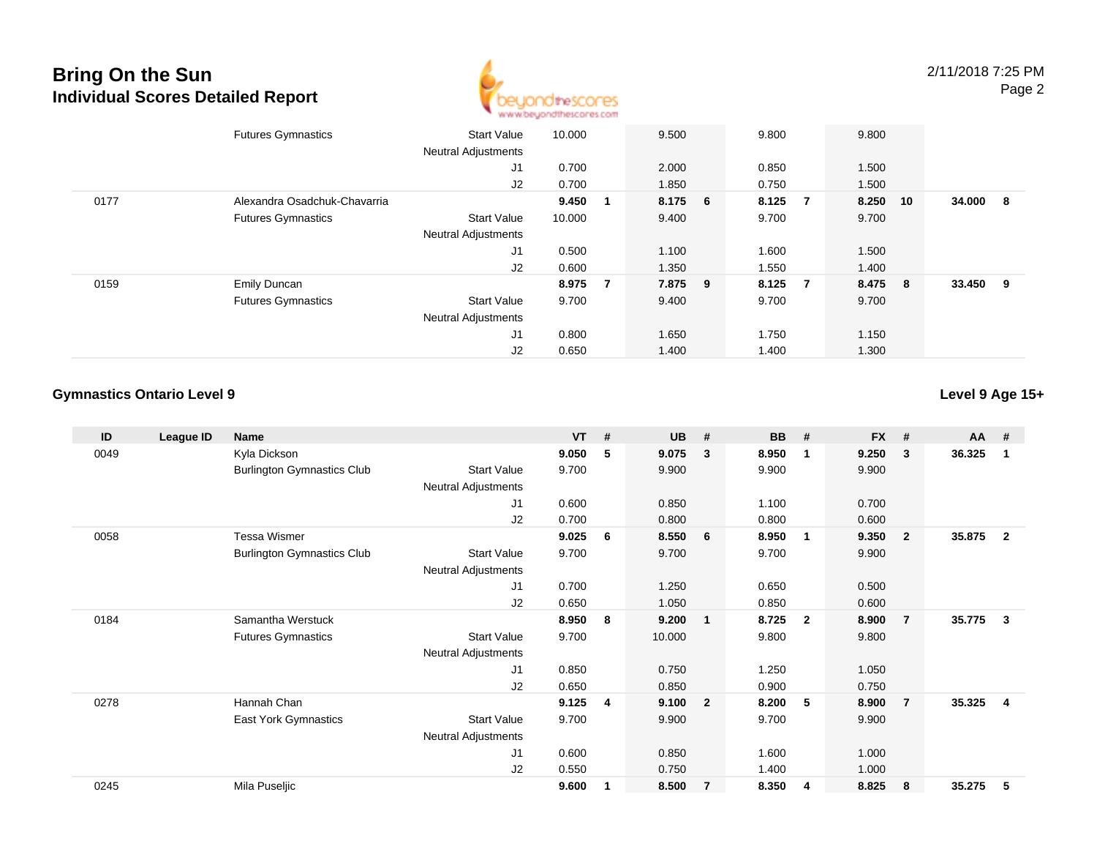## **Bring On the SunIndividual Scores Detailed Report**



|      | <b>Futures Gymnastics</b>    | <b>Start Value</b><br><b>Neutral Adjustments</b> | 10.000  |     | 9.500   | 9.800                   | 9.800 |          |          |     |
|------|------------------------------|--------------------------------------------------|---------|-----|---------|-------------------------|-------|----------|----------|-----|
|      |                              | J1                                               | 0.700   |     | 2.000   | 0.850                   | 1.500 |          |          |     |
|      |                              | J2                                               | 0.700   |     | 1.850   | 0.750                   | 1.500 |          |          |     |
| 0177 | Alexandra Osadchuk-Chavarria |                                                  | 9.450 1 |     | 8.175 6 | 8.125<br>$\overline{7}$ |       | 8.250 10 | 34.000   | - 8 |
|      | <b>Futures Gymnastics</b>    | <b>Start Value</b>                               | 10.000  |     | 9.400   | 9.700                   | 9.700 |          |          |     |
|      |                              | <b>Neutral Adjustments</b>                       |         |     |         |                         |       |          |          |     |
|      |                              | J1                                               | 0.500   |     | 1.100   | 1.600                   | 1.500 |          |          |     |
|      |                              | J2                                               | 0.600   |     | 1.350   | 1.550                   | 1.400 |          |          |     |
| 0159 | <b>Emily Duncan</b>          |                                                  | 8.975   | - 7 | 7.875 9 | 8.125<br>$\overline{7}$ |       | 8.475 8  | 33.450 9 |     |
|      | <b>Futures Gymnastics</b>    | <b>Start Value</b>                               | 9.700   |     | 9.400   | 9.700                   | 9.700 |          |          |     |
|      |                              | <b>Neutral Adjustments</b>                       |         |     |         |                         |       |          |          |     |
|      |                              | J <sub>1</sub>                                   | 0.800   |     | 1.650   | 1.750                   | 1.150 |          |          |     |
|      |                              | J2                                               | 0.650   |     | 1.400   | 1.400                   | 1.300 |          |          |     |

#### **Gymnastics Ontario Level 9**

**Level 9 Age 15+**

| ID   | League ID | <b>Name</b>                       |                            | <b>VT</b> | # | <b>UB</b> | #              | <b>BB</b> | #                       | <b>FX</b> | #              | <b>AA</b> | #            |
|------|-----------|-----------------------------------|----------------------------|-----------|---|-----------|----------------|-----------|-------------------------|-----------|----------------|-----------|--------------|
| 0049 |           | Kyla Dickson                      |                            | 9.050     | 5 | 9.075     | $\mathbf{3}$   | 8.950     | $\mathbf 1$             | 9.250     | 3              | 36.325    | 1            |
|      |           | <b>Burlington Gymnastics Club</b> | <b>Start Value</b>         | 9.700     |   | 9.900     |                | 9.900     |                         | 9.900     |                |           |              |
|      |           |                                   | <b>Neutral Adjustments</b> |           |   |           |                |           |                         |           |                |           |              |
|      |           |                                   | J1                         | 0.600     |   | 0.850     |                | 1.100     |                         | 0.700     |                |           |              |
|      |           |                                   | J2                         | 0.700     |   | 0.800     |                | 0.800     |                         | 0.600     |                |           |              |
| 0058 |           | <b>Tessa Wismer</b>               |                            | 9.025     | 6 | 8.550     | - 6            | 8.950     | $\overline{\mathbf{1}}$ | 9.350     | $\overline{2}$ | 35.875    | $\mathbf{2}$ |
|      |           | <b>Burlington Gymnastics Club</b> | <b>Start Value</b>         | 9.700     |   | 9.700     |                | 9.700     |                         | 9.900     |                |           |              |
|      |           |                                   | <b>Neutral Adjustments</b> |           |   |           |                |           |                         |           |                |           |              |
|      |           |                                   | J <sub>1</sub>             | 0.700     |   | 1.250     |                | 0.650     |                         | 0.500     |                |           |              |
|      |           |                                   | J2                         | 0.650     |   | 1.050     |                | 0.850     |                         | 0.600     |                |           |              |
| 0184 |           | Samantha Werstuck                 |                            | 8.950     | 8 | 9.200     | $\blacksquare$ | 8.725     | $\overline{\mathbf{2}}$ | 8.900     | $\overline{7}$ | 35.775    | 3            |
|      |           | <b>Futures Gymnastics</b>         | <b>Start Value</b>         | 9.700     |   | 10.000    |                | 9.800     |                         | 9.800     |                |           |              |
|      |           |                                   | <b>Neutral Adjustments</b> |           |   |           |                |           |                         |           |                |           |              |
|      |           |                                   | J1                         | 0.850     |   | 0.750     |                | 1.250     |                         | 1.050     |                |           |              |
|      |           |                                   | J <sub>2</sub>             | 0.650     |   | 0.850     |                | 0.900     |                         | 0.750     |                |           |              |
| 0278 |           | Hannah Chan                       |                            | 9.125     | 4 | 9.100     | $\overline{2}$ | 8.200     | -5                      | 8.900     | $\overline{7}$ | 35.325    | 4            |
|      |           | <b>East York Gymnastics</b>       | <b>Start Value</b>         | 9.700     |   | 9.900     |                | 9.700     |                         | 9.900     |                |           |              |
|      |           |                                   | Neutral Adjustments        |           |   |           |                |           |                         |           |                |           |              |
|      |           |                                   | J <sub>1</sub>             | 0.600     |   | 0.850     |                | 1.600     |                         | 1.000     |                |           |              |
|      |           |                                   | J2                         | 0.550     |   | 0.750     |                | 1.400     |                         | 1.000     |                |           |              |
| 0245 |           | Mila Puseljic                     |                            | 9.600     |   | 8.500     | $\overline{7}$ | 8.350     | 4                       | 8.825     | 8              | 35.275    | 5            |